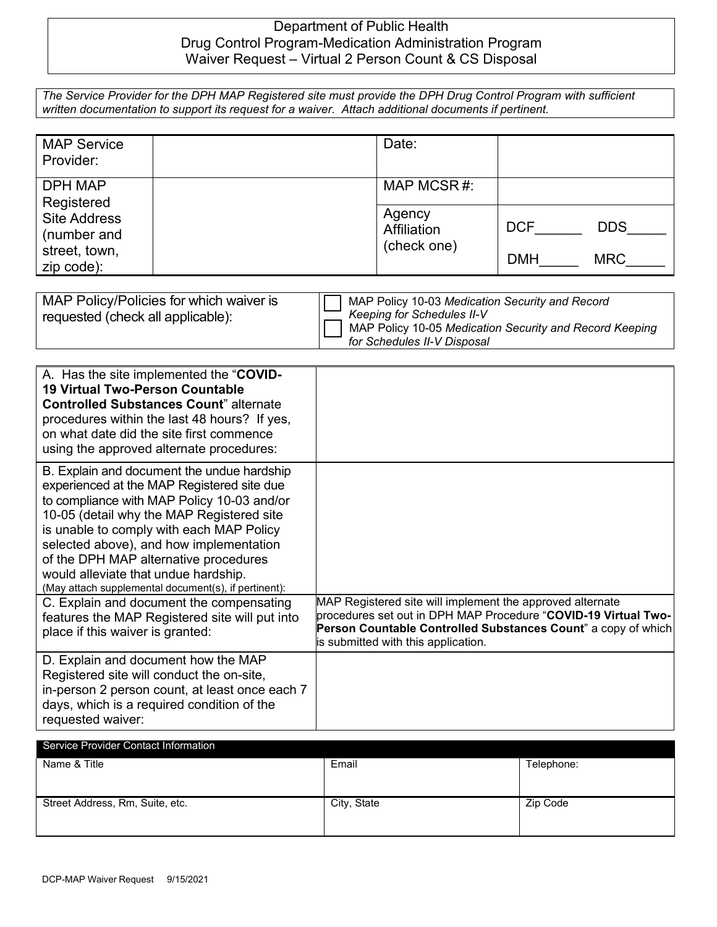## Department of Public Health Drug Control Program-Medication Administration Program Waiver Request – Virtual 2 Person Count & CS Disposal

|                                                                                                      | The Service Provider for the DPH MAP Registered site must provide the DPH Drug Control Program with sufficient |
|------------------------------------------------------------------------------------------------------|----------------------------------------------------------------------------------------------------------------|
| written documentation to support its request for a waiver. Attach additional documents if pertinent. |                                                                                                                |

| <b>MAP Service</b><br>Provider:                                                                   |                                      | Date:                    |  |
|---------------------------------------------------------------------------------------------------|--------------------------------------|--------------------------|--|
| <b>DPH MAP</b><br>Registered<br><b>Site Address</b><br>(number and<br>street, town,<br>zip code): | MAP MCSR#:                           |                          |  |
|                                                                                                   | Agency<br>Affiliation<br>(check one) | <b>DCF</b><br><b>DDS</b> |  |
|                                                                                                   |                                      | <b>DMH</b><br><b>MRC</b> |  |

| MAP Policy/Policies for which waiver is<br>requested (check all applicable): | MAP Policy 10-03 Medication Security and Record<br><b>Keeping for Schedules II-V</b><br>MAP Policy 10-05 Medication Security and Record Keeping<br>for Schedules II-V Disposal |
|------------------------------------------------------------------------------|--------------------------------------------------------------------------------------------------------------------------------------------------------------------------------|
|------------------------------------------------------------------------------|--------------------------------------------------------------------------------------------------------------------------------------------------------------------------------|

| A. Has the site implemented the "COVID-<br><b>19 Virtual Two-Person Countable</b><br><b>Controlled Substances Count</b> " alternate<br>procedures within the last 48 hours? If yes,<br>on what date did the site first commence<br>using the approved alternate procedures:                                                                                                                                         |                                                                                                                                                                                                                                     |
|---------------------------------------------------------------------------------------------------------------------------------------------------------------------------------------------------------------------------------------------------------------------------------------------------------------------------------------------------------------------------------------------------------------------|-------------------------------------------------------------------------------------------------------------------------------------------------------------------------------------------------------------------------------------|
| B. Explain and document the undue hardship<br>experienced at the MAP Registered site due<br>to compliance with MAP Policy 10-03 and/or<br>10-05 (detail why the MAP Registered site<br>is unable to comply with each MAP Policy<br>selected above), and how implementation<br>of the DPH MAP alternative procedures<br>would alleviate that undue hardship.<br>(May attach supplemental document(s), if pertinent): |                                                                                                                                                                                                                                     |
| C. Explain and document the compensating<br>features the MAP Registered site will put into<br>place if this waiver is granted:                                                                                                                                                                                                                                                                                      | MAP Registered site will implement the approved alternate<br>procedures set out in DPH MAP Procedure "COVID-19 Virtual Two-<br>Person Countable Controlled Substances Count" a copy of which<br>is submitted with this application. |
| D. Explain and document how the MAP<br>Registered site will conduct the on-site,<br>in-person 2 person count, at least once each 7<br>days, which is a required condition of the<br>requested waiver:                                                                                                                                                                                                               |                                                                                                                                                                                                                                     |

| <b>SEIVICE FTOVIDEL COTTACT ITTIOITIATIOIT</b> |            |  |  |  |
|------------------------------------------------|------------|--|--|--|
| Email                                          | Telephone: |  |  |  |
|                                                |            |  |  |  |
|                                                |            |  |  |  |
| City, State                                    | Zip Code   |  |  |  |
|                                                |            |  |  |  |
|                                                |            |  |  |  |
|                                                |            |  |  |  |

Service Provider Contact Information